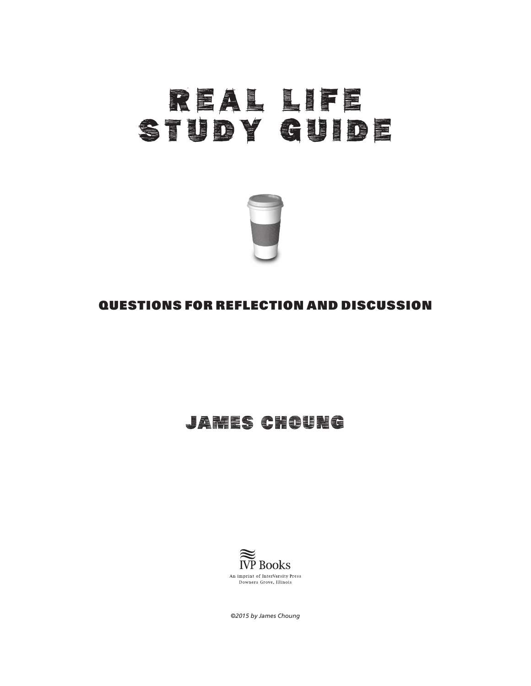# REAL LIFE STUDY GUIDE



#### QUESTIONS FOR REFLECTION AND DISCUSSION

## **JAMES CHOUNG**



*©2015 by James Choung*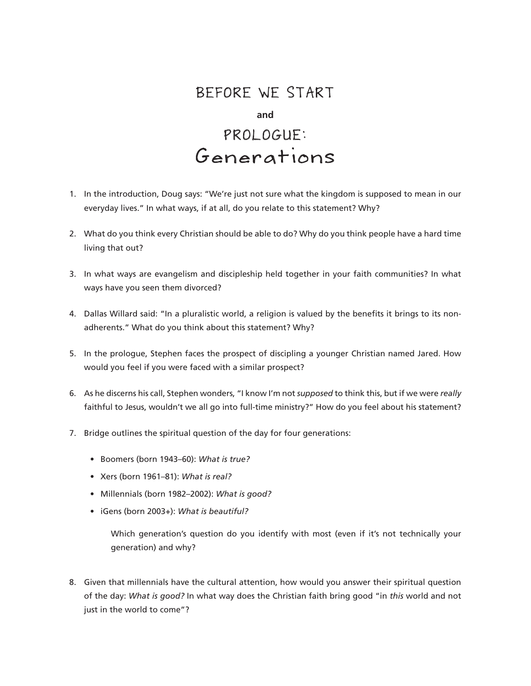### BEFORE WE START

#### **and**

# PROLOGUE: Generations

- 1. In the introduction, Doug says: "We're just not sure what the kingdom is supposed to mean in our everyday lives." In what ways, if at all, do you relate to this statement? Why?
- 2. What do you think every Christian should be able to do? Why do you think people have a hard time living that out?
- 3. In what ways are evangelism and discipleship held together in your faith communities? In what ways have you seen them divorced?
- 4. Dallas Willard said: "In a pluralistic world, a religion is valued by the benefits it brings to its nonadherents." What do you think about this statement? Why?
- 5. In the prologue, Stephen faces the prospect of discipling a younger Christian named Jared. How would you feel if you were faced with a similar prospect?
- 6. As he discerns his call, Stephen wonders, "I know I'm not *supposed* to think this, but if we were *really* faithful to Jesus, wouldn't we all go into full-time ministry?" How do you feel about his statement?
- 7. Bridge outlines the spiritual question of the day for four generations:
	- Boomers (born 1943–60): *What is true?*
	- Xers (born 1961–81): *What is real?*
	- Millennials (born 1982–2002): *What is good?*
	- iGens (born 2003+): *What is beautiful?*

Which generation's question do you identify with most (even if it's not technically your generation) and why?

8. Given that millennials have the cultural attention, how would you answer their spiritual question of the day: *What is good?* In what way does the Christian faith bring good "in *this* world and not just in the world to come"?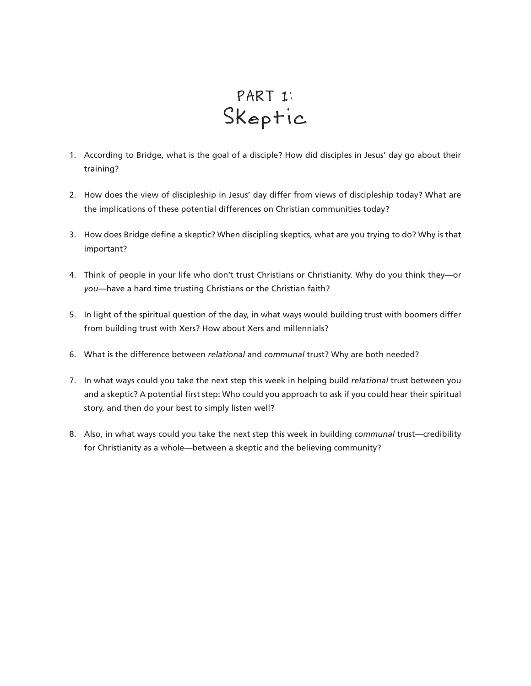# PART 1: Skeptic

- 1. According to Bridge, what is the goal of a disciple? How did disciples in Jesus' day go about their training?
- 2. How does the view of discipleship in Jesus' day differ from views of discipleship today? What are the implications of these potential differences on Christian communities today?
- 3. How does Bridge define a skeptic? When discipling skeptics, what are you trying to do? Why is that important?
- 4. Think of people in your life who don't trust Christians or Christianity. Why do you think they—or *you*—have a hard time trusting Christians or the Christian faith?
- 5. In light of the spiritual question of the day, in what ways would building trust with boomers differ from building trust with Xers? How about Xers and millennials?
- 6. What is the difference between *relational* and *communal* trust? Why are both needed?
- 7. In what ways could you take the next step this week in helping build *relational* trust between you and a skeptic? A potential first step: Who could you approach to ask if you could hear their spiritual story, and then do your best to simply listen well?
- 8. Also, in what ways could you take the next step this week in building *communal* trust—credibility for Christianity as a whole—between a skeptic and the believing community?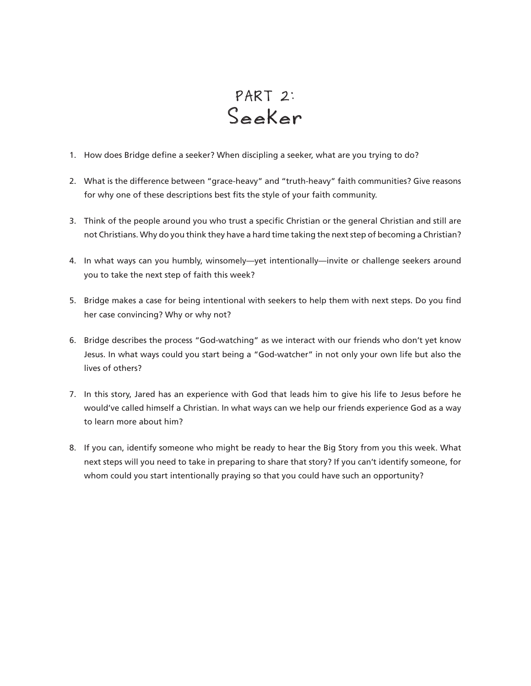# PART 2: Seeker

- 1. How does Bridge define a seeker? When discipling a seeker, what are you trying to do?
- 2. What is the difference between "grace-heavy" and "truth-heavy" faith communities? Give reasons for why one of these descriptions best fits the style of your faith community.
- 3. Think of the people around you who trust a specific Christian or the general Christian and still are not Christians. Why do you think they have a hard time taking the next step of becoming a Christian?
- 4. In what ways can you humbly, winsomely—yet intentionally—invite or challenge seekers around you to take the next step of faith this week?
- 5. Bridge makes a case for being intentional with seekers to help them with next steps. Do you find her case convincing? Why or why not?
- 6. Bridge describes the process "God-watching" as we interact with our friends who don't yet know Jesus. In what ways could you start being a "God-watcher" in not only your own life but also the lives of others?
- 7. In this story, Jared has an experience with God that leads him to give his life to Jesus before he would've called himself a Christian. In what ways can we help our friends experience God as a way to learn more about him?
- 8. If you can, identify someone who might be ready to hear the Big Story from you this week. What next steps will you need to take in preparing to share that story? If you can't identify someone, for whom could you start intentionally praying so that you could have such an opportunity?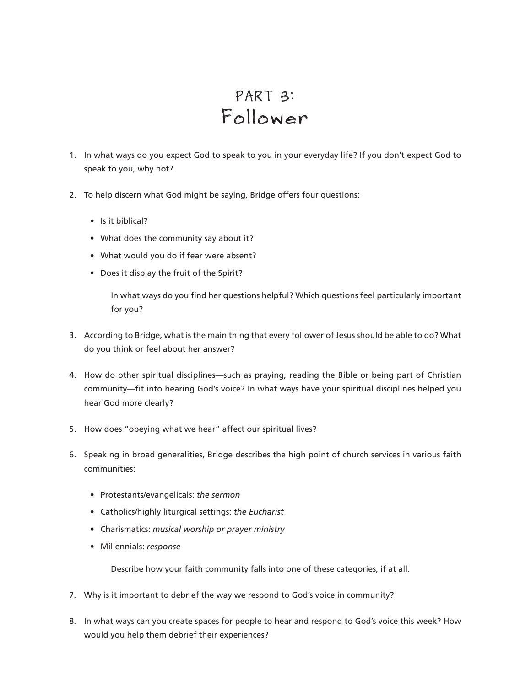# PART 3: Follower

- 1. In what ways do you expect God to speak to you in your everyday life? If you don't expect God to speak to you, why not?
- 2. To help discern what God might be saying, Bridge offers four questions:
	- Is it biblical?
	- What does the community say about it?
	- What would you do if fear were absent?
	- Does it display the fruit of the Spirit?

In what ways do you find her questions helpful? Which questions feel particularly important for you?

- 3. According to Bridge, what is the main thing that every follower of Jesus should be able to do? What do you think or feel about her answer?
- 4. How do other spiritual disciplines—such as praying, reading the Bible or being part of Christian community—fit into hearing God's voice? In what ways have your spiritual disciplines helped you hear God more clearly?
- 5. How does "obeying what we hear" affect our spiritual lives?
- 6. Speaking in broad generalities, Bridge describes the high point of church services in various faith communities:
	- Protestants/evangelicals: *the sermon*
	- Catholics/highly liturgical settings: *the Eucharist*
	- Charismatics: *musical worship or prayer ministry*
	- Millennials: *response*

Describe how your faith community falls into one of these categories, if at all.

- 7. Why is it important to debrief the way we respond to God's voice in community?
- 8. In what ways can you create spaces for people to hear and respond to God's voice this week? How would you help them debrief their experiences?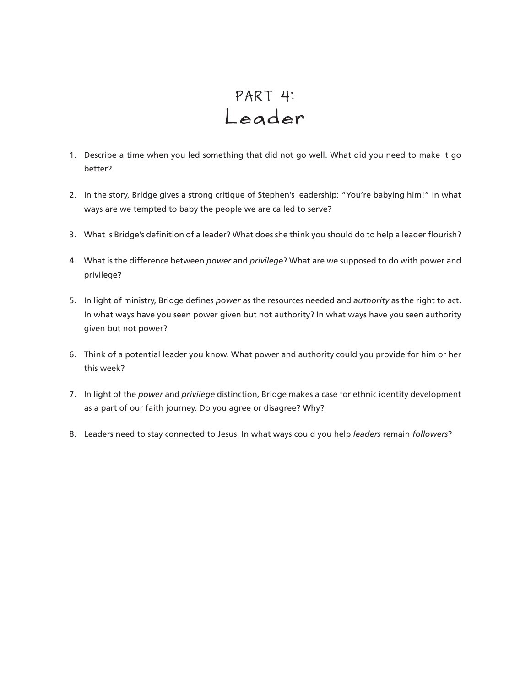# PART 4: Leader

- 1. Describe a time when you led something that did not go well. What did you need to make it go better?
- 2. In the story, Bridge gives a strong critique of Stephen's leadership: "You're babying him!" In what ways are we tempted to baby the people we are called to serve?
- 3. What is Bridge's definition of a leader? What does she think you should do to help a leader flourish?
- 4. What is the difference between *power* and *privilege*? What are we supposed to do with power and privilege?
- 5. In light of ministry, Bridge defines *power* as the resources needed and *authority* as the right to act. In what ways have you seen power given but not authority? In what ways have you seen authority given but not power?
- 6. Think of a potential leader you know. What power and authority could you provide for him or her this week?
- 7. In light of the *power* and *privilege* distinction, Bridge makes a case for ethnic identity development as a part of our faith journey. Do you agree or disagree? Why?
- 8. Leaders need to stay connected to Jesus. In what ways could you help *leaders* remain *followers*?